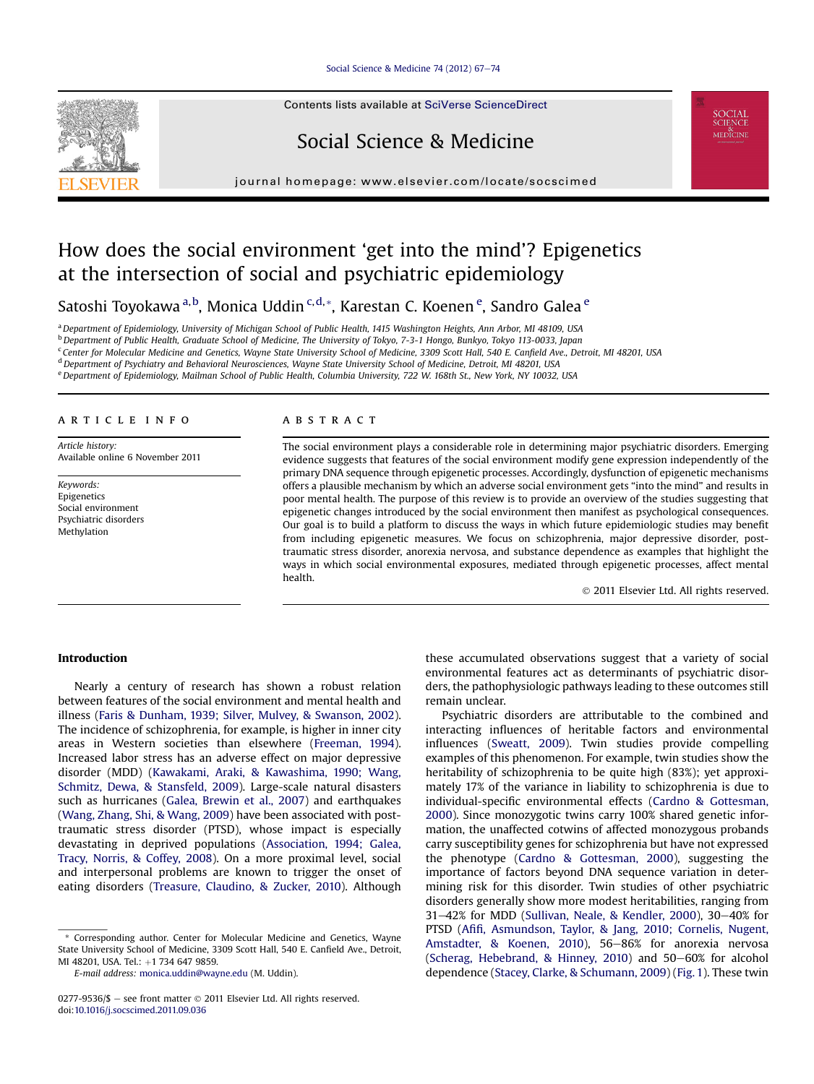### [Social Science & Medicine 74 \(2012\) 67](http://dx.doi.org/10.1016/j.socscimed.2011.09.036)-[74](http://dx.doi.org/10.1016/j.socscimed.2011.09.036)

Contents lists available at [SciVerse ScienceDirect](www.sciencedirect.com/science/journal/02779536)

# Social Science & Medicine

journal homepage: [www.elsevier.com/locate/socscimed](http://www.elsevier.com/locate/socscimed)

# How does the social environment 'get into the mind'? Epigenetics at the intersection of social and psychiatric epidemiology

Satoshi Toyokawa <sup>a, b</sup>, Monica Uddin <sup>c,d,</sup>\*, Karestan C. Koenen <sup>e</sup>, Sandro Galea <sup>e</sup>

a Department of Epidemiology, University of Michigan School of Public Health, 1415 Washington Heights, Ann Arbor, MI 48109, USA

 $b$  Department of Public Health, Graduate School of Medicine, The University of Tokyo, 7-3-1 Hongo, Bunkyo, Tokyo 113-0033, Japan

<sup>c</sup> Center for Molecular Medicine and Genetics, Wayne State University School of Medicine, 3309 Scott Hall, 540 E. Canfield Ave., Detroit, MI 48201, USA

<sup>d</sup> Department of Psychiatry and Behavioral Neurosciences, Wayne State University School of Medicine, Detroit, MI 48201, USA

e Department of Epidemiology, Mailman School of Public Health, Columbia University, 722 W. 168th St., New York, NY 10032, USA

## article info

Article history: Available online 6 November 2011

Keywords: Epigenetics Social environment Psychiatric disorders Methylation

# **ABSTRACT**

The social environment plays a considerable role in determining major psychiatric disorders. Emerging evidence suggests that features of the social environment modify gene expression independently of the primary DNA sequence through epigenetic processes. Accordingly, dysfunction of epigenetic mechanisms offers a plausible mechanism by which an adverse social environment gets "into the mind" and results in poor mental health. The purpose of this review is to provide an overview of the studies suggesting that epigenetic changes introduced by the social environment then manifest as psychological consequences. Our goal is to build a platform to discuss the ways in which future epidemiologic studies may benefit from including epigenetic measures. We focus on schizophrenia, major depressive disorder, posttraumatic stress disorder, anorexia nervosa, and substance dependence as examples that highlight the ways in which social environmental exposures, mediated through epigenetic processes, affect mental health.

2011 Elsevier Ltd. All rights reserved.

**SOCIAL**<br>SCIENCE **MEDICINE** 

#### Introduction

Nearly a century of research has shown a robust relation between features of the social environment and mental health and illness [\(Faris & Dunham, 1939; Silver, Mulvey, & Swanson, 2002\)](#page-6-0). The incidence of schizophrenia, for example, is higher in inner city areas in Western societies than elsewhere ([Freeman, 1994\)](#page-6-0). Increased labor stress has an adverse effect on major depressive disorder (MDD) ([Kawakami, Araki, & Kawashima, 1990; Wang,](#page-6-0) [Schmitz, Dewa, & Stansfeld, 2009\)](#page-6-0). Large-scale natural disasters such as hurricanes ([Galea, Brewin et al., 2007\)](#page-6-0) and earthquakes ([Wang, Zhang, Shi, & Wang, 2009\)](#page-7-0) have been associated with posttraumatic stress disorder (PTSD), whose impact is especially devastating in deprived populations [\(Association, 1994; Galea,](#page-6-0) [Tracy, Norris, & Coffey, 2008](#page-6-0)). On a more proximal level, social and interpersonal problems are known to trigger the onset of eating disorders [\(Treasure, Claudino, & Zucker, 2010\)](#page-7-0). Although

\* Corresponding author. Center for Molecular Medicine and Genetics, Wayne State University School of Medicine, 3309 Scott Hall, 540 E. Canfield Ave., Detroit, MI 48201, USA. Tel.: +1 734 647 9859.

E-mail address: [monica.uddin@wayne.edu](mailto:monica.uddin@wayne.edu) (M. Uddin).

these accumulated observations suggest that a variety of social environmental features act as determinants of psychiatric disorders, the pathophysiologic pathways leading to these outcomes still remain unclear.

Psychiatric disorders are attributable to the combined and interacting influences of heritable factors and environmental influences ([Sweatt, 2009\)](#page-7-0). Twin studies provide compelling examples of this phenomenon. For example, twin studies show the heritability of schizophrenia to be quite high (83%); yet approximately 17% of the variance in liability to schizophrenia is due to individual-specific environmental effects ([Cardno & Gottesman,](#page-6-0) [2000\)](#page-6-0). Since monozygotic twins carry 100% shared genetic information, the unaffected cotwins of affected monozygous probands carry susceptibility genes for schizophrenia but have not expressed the phenotype ([Cardno & Gottesman, 2000\)](#page-6-0), suggesting the importance of factors beyond DNA sequence variation in determining risk for this disorder. Twin studies of other psychiatric disorders generally show more modest heritabilities, ranging from  $31-42%$  for MDD ([Sullivan, Neale, & Kendler, 2000\)](#page-7-0),  $30-40%$  for PTSD (Afifi[, Asmundson, Taylor, & Jang, 2010; Cornelis, Nugent,](#page-5-0) [Amstadter, & Koenen, 2010](#page-5-0)), 56-86% for anorexia nervosa ([Scherag, Hebebrand, & Hinney, 2010\)](#page-7-0) and  $50-60%$  for alcohol dependence [\(Stacey, Clarke, & Schumann, 2009\)](#page-7-0) ([Fig. 1\)](#page-1-0). These twin



<sup>0277-9536/</sup> $$ - see$  front matter  $@$  2011 Elsevier Ltd. All rights reserved. doi[:10.1016/j.socscimed.2011.09.036](http://dx.doi.org/10.1016/j.socscimed.2011.09.036)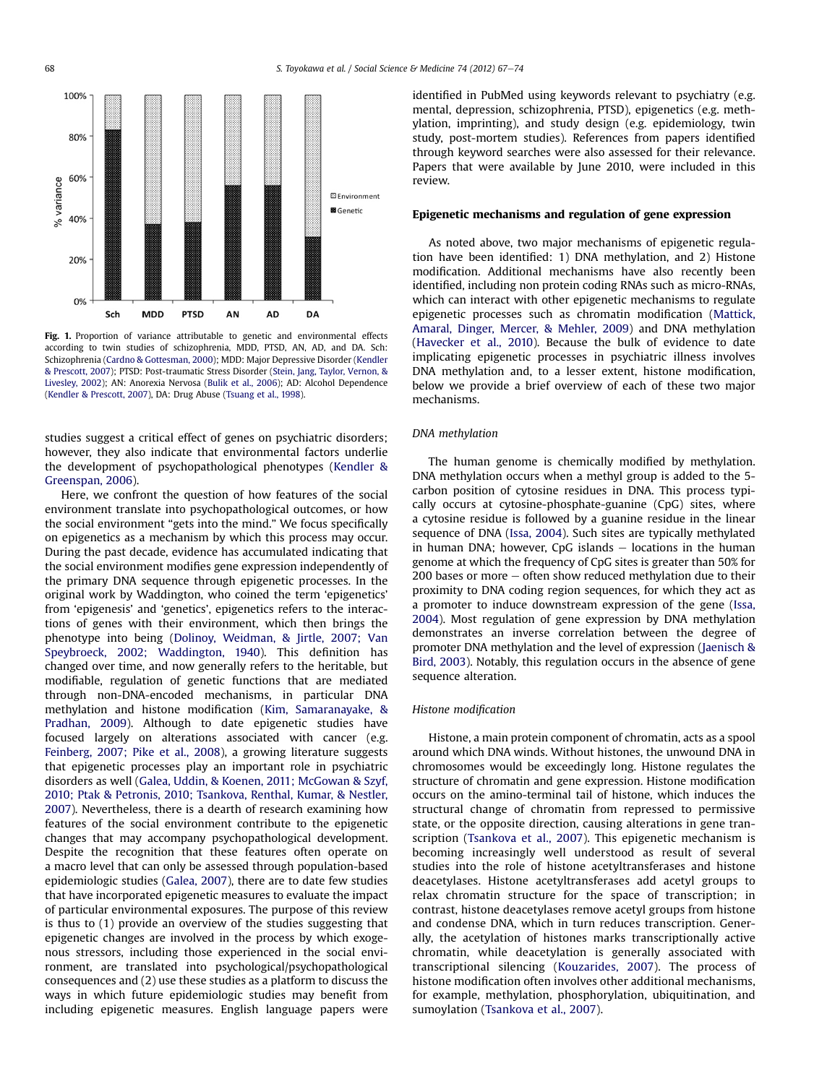<span id="page-1-0"></span>

Fig. 1. Proportion of variance attributable to genetic and environmental effects according to twin studies of schizophrenia, MDD, PTSD, AN, AD, and DA. Sch: Schizophrenia ([Cardno & Gottesman, 2000\)](#page-6-0); MDD: Major Depressive Disorder [\(Kendler](#page-6-0) [& Prescott, 2007\)](#page-6-0); PTSD: Post-traumatic Stress Disorder ([Stein, Jang, Taylor, Vernon, &](#page-7-0) [Livesley, 2002](#page-7-0)); AN: Anorexia Nervosa ([Bulik et al., 2006\)](#page-6-0); AD: Alcohol Dependence [\(Kendler & Prescott, 2007](#page-6-0)), DA: Drug Abuse ([Tsuang et al., 1998\)](#page-7-0).

studies suggest a critical effect of genes on psychiatric disorders; however, they also indicate that environmental factors underlie the development of psychopathological phenotypes [\(Kendler &](#page-6-0) [Greenspan, 2006\)](#page-6-0).

Here, we confront the question of how features of the social environment translate into psychopathological outcomes, or how the social environment "gets into the mind." We focus specifically on epigenetics as a mechanism by which this process may occur. During the past decade, evidence has accumulated indicating that the social environment modifies gene expression independently of the primary DNA sequence through epigenetic processes. In the original work by Waddington, who coined the term 'epigenetics' from 'epigenesis' and 'genetics', epigenetics refers to the interactions of genes with their environment, which then brings the phenotype into being [\(Dolinoy, Weidman, & Jirtle, 2007; Van](#page-6-0) [Speybroeck, 2002; Waddington, 1940](#page-6-0)). This definition has changed over time, and now generally refers to the heritable, but modifiable, regulation of genetic functions that are mediated through non-DNA-encoded mechanisms, in particular DNA methylation and histone modification ([Kim, Samaranayake, &](#page-6-0) [Pradhan, 2009\)](#page-6-0). Although to date epigenetic studies have focused largely on alterations associated with cancer (e.g. [Feinberg, 2007; Pike et al., 2008](#page-6-0)), a growing literature suggests that epigenetic processes play an important role in psychiatric disorders as well ([Galea, Uddin, & Koenen, 2011; McGowan & Szyf,](#page-6-0) [2010; Ptak & Petronis, 2010; Tsankova, Renthal, Kumar, & Nestler,](#page-6-0) [2007\)](#page-6-0). Nevertheless, there is a dearth of research examining how features of the social environment contribute to the epigenetic changes that may accompany psychopathological development. Despite the recognition that these features often operate on a macro level that can only be assessed through population-based epidemiologic studies [\(Galea, 2007](#page-6-0)), there are to date few studies that have incorporated epigenetic measures to evaluate the impact of particular environmental exposures. The purpose of this review is thus to (1) provide an overview of the studies suggesting that epigenetic changes are involved in the process by which exogenous stressors, including those experienced in the social environment, are translated into psychological/psychopathological consequences and (2) use these studies as a platform to discuss the ways in which future epidemiologic studies may benefit from including epigenetic measures. English language papers were identified in PubMed using keywords relevant to psychiatry (e.g. mental, depression, schizophrenia, PTSD), epigenetics (e.g. methylation, imprinting), and study design (e.g. epidemiology, twin study, post-mortem studies). References from papers identified through keyword searches were also assessed for their relevance. Papers that were available by June 2010, were included in this review.

## Epigenetic mechanisms and regulation of gene expression

As noted above, two major mechanisms of epigenetic regulation have been identified: 1) DNA methylation, and 2) Histone modification. Additional mechanisms have also recently been identified, including non protein coding RNAs such as micro-RNAs, which can interact with other epigenetic mechanisms to regulate epigenetic processes such as chromatin modification [\(Mattick,](#page-7-0) [Amaral, Dinger, Mercer, & Mehler, 2009](#page-7-0)) and DNA methylation ([Havecker et al., 2010](#page-6-0)). Because the bulk of evidence to date implicating epigenetic processes in psychiatric illness involves DNA methylation and, to a lesser extent, histone modification, below we provide a brief overview of each of these two major mechanisms.

## DNA methylation

The human genome is chemically modified by methylation. DNA methylation occurs when a methyl group is added to the 5 carbon position of cytosine residues in DNA. This process typically occurs at cytosine-phosphate-guanine (CpG) sites, where a cytosine residue is followed by a guanine residue in the linear sequence of DNA [\(Issa, 2004](#page-6-0)). Such sites are typically methylated in human DNA; however,  $CpG$  islands  $-$  locations in the human genome at which the frequency of CpG sites is greater than 50% for  $200$  bases or more  $-$  often show reduced methylation due to their proximity to DNA coding region sequences, for which they act as a promoter to induce downstream expression of the gene [\(Issa,](#page-6-0) [2004](#page-6-0)). Most regulation of gene expression by DNA methylation demonstrates an inverse correlation between the degree of promoter DNA methylation and the level of expression ([Jaenisch &](#page-6-0) [Bird, 2003](#page-6-0)). Notably, this regulation occurs in the absence of gene sequence alteration.

#### Histone modification

Histone, a main protein component of chromatin, acts as a spool around which DNA winds. Without histones, the unwound DNA in chromosomes would be exceedingly long. Histone regulates the structure of chromatin and gene expression. Histone modification occurs on the amino-terminal tail of histone, which induces the structural change of chromatin from repressed to permissive state, or the opposite direction, causing alterations in gene transcription ([Tsankova et al., 2007\)](#page-7-0). This epigenetic mechanism is becoming increasingly well understood as result of several studies into the role of histone acetyltransferases and histone deacetylases. Histone acetyltransferases add acetyl groups to relax chromatin structure for the space of transcription; in contrast, histone deacetylases remove acetyl groups from histone and condense DNA, which in turn reduces transcription. Generally, the acetylation of histones marks transcriptionally active chromatin, while deacetylation is generally associated with transcriptional silencing [\(Kouzarides, 2007\)](#page-7-0). The process of histone modification often involves other additional mechanisms, for example, methylation, phosphorylation, ubiquitination, and sumoylation [\(Tsankova et al., 2007](#page-7-0)).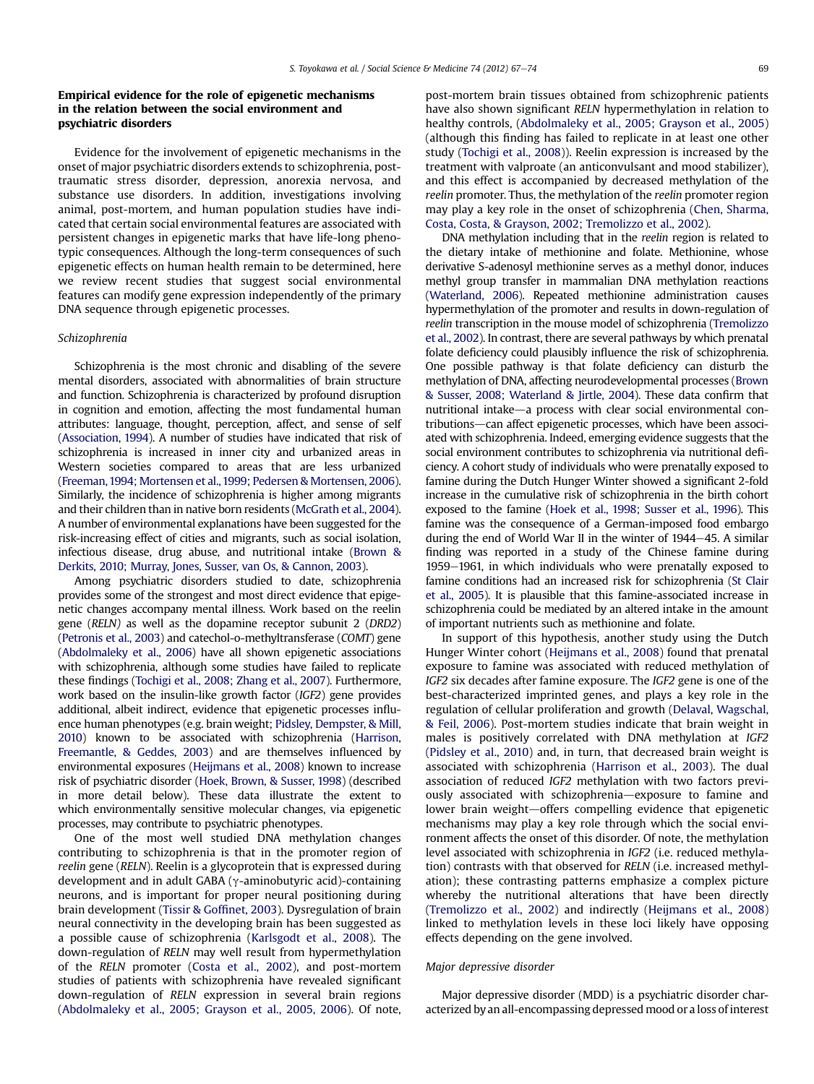# Empirical evidence for the role of epigenetic mechanisms in the relation between the social environment and psychiatric disorders

Evidence for the involvement of epigenetic mechanisms in the onset of major psychiatric disorders extends to schizophrenia, posttraumatic stress disorder, depression, anorexia nervosa, and substance use disorders. In addition, investigations involving animal, post-mortem, and human population studies have indicated that certain social environmental features are associated with persistent changes in epigenetic marks that have life-long phenotypic consequences. Although the long-term consequences of such epigenetic effects on human health remain to be determined, here we review recent studies that suggest social environmental features can modify gene expression independently of the primary DNA sequence through epigenetic processes.

## Schizophrenia

Schizophrenia is the most chronic and disabling of the severe mental disorders, associated with abnormalities of brain structure and function. Schizophrenia is characterized by profound disruption in cognition and emotion, affecting the most fundamental human attributes: language, thought, perception, affect, and sense of self [\(Association, 1994\)](#page-6-0). A number of studies have indicated that risk of schizophrenia is increased in inner city and urbanized areas in Western societies compared to areas that are less urbanized [\(Freeman,1994; Mortensen et al.,1999; Pedersen & Mortensen, 2006\)](#page-6-0). Similarly, the incidence of schizophrenia is higher among migrants and their children than in native born residents [\(McGrath et al., 2004\)](#page-7-0). A number of environmental explanations have been suggested for the risk-increasing effect of cities and migrants, such as social isolation, infectious disease, drug abuse, and nutritional intake [\(Brown &](#page-6-0) [Derkits, 2010; Murray, Jones, Susser, van Os, & Cannon, 2003\)](#page-6-0).

Among psychiatric disorders studied to date, schizophrenia provides some of the strongest and most direct evidence that epigenetic changes accompany mental illness. Work based on the reelin gene (RELN) as well as the dopamine receptor subunit 2 (DRD2) [\(Petronis et al., 2003](#page-7-0)) and catechol-o-methyltransferase (COMT) gene [\(Abdolmaleky et al., 2006](#page-5-0)) have all shown epigenetic associations with schizophrenia, although some studies have failed to replicate these findings [\(Tochigi et al., 2008; Zhang et al., 2007](#page-7-0)). Furthermore, work based on the insulin-like growth factor (IGF2) gene provides additional, albeit indirect, evidence that epigenetic processes influence human phenotypes (e.g. brain weight; [Pidsley, Dempster, & Mill,](#page-7-0) [2010](#page-7-0)) known to be associated with schizophrenia [\(Harrison,](#page-6-0) [Freemantle, & Geddes, 2003\)](#page-6-0) and are themselves influenced by environmental exposures [\(Heijmans et al., 2008\)](#page-6-0) known to increase risk of psychiatric disorder ([Hoek, Brown, & Susser, 1998](#page-6-0)) (described in more detail below). These data illustrate the extent to which environmentally sensitive molecular changes, via epigenetic processes, may contribute to psychiatric phenotypes.

One of the most well studied DNA methylation changes contributing to schizophrenia is that in the promoter region of reelin gene (RELN). Reelin is a glycoprotein that is expressed during development and in adult GABA ( $\gamma$ -aminobutyric acid)-containing neurons, and is important for proper neural positioning during brain development [\(Tissir & Gof](#page-7-0)finet, 2003). Dysregulation of brain neural connectivity in the developing brain has been suggested as a possible cause of schizophrenia ([Karlsgodt et al., 2008](#page-6-0)). The down-regulation of RELN may well result from hypermethylation of the RELN promoter ([Costa et al., 2002](#page-6-0)), and post-mortem studies of patients with schizophrenia have revealed significant down-regulation of RELN expression in several brain regions ([Abdolmaleky et al., 2005; Grayson et al., 2005, 2006\)](#page-5-0). Of note,

post-mortem brain tissues obtained from schizophrenic patients have also shown significant RELN hypermethylation in relation to healthy controls, [\(Abdolmaleky et al., 2005; Grayson et al., 2005\)](#page-5-0) (although this finding has failed to replicate in at least one other study [\(Tochigi et al., 2008\)](#page-7-0)). Reelin expression is increased by the treatment with valproate (an anticonvulsant and mood stabilizer), and this effect is accompanied by decreased methylation of the reelin promoter. Thus, the methylation of the reelin promoter region may play a key role in the onset of schizophrenia ([Chen, Sharma,](#page-6-0) [Costa, Costa, & Grayson, 2002; Tremolizzo et al., 2002](#page-6-0)).

DNA methylation including that in the reelin region is related to the dietary intake of methionine and folate. Methionine, whose derivative S-adenosyl methionine serves as a methyl donor, induces methyl group transfer in mammalian DNA methylation reactions [\(Waterland, 2006](#page-7-0)). Repeated methionine administration causes hypermethylation of the promoter and results in down-regulation of reelin transcription in the mouse model of schizophrenia [\(Tremolizzo](#page-7-0) [et al., 2002\)](#page-7-0). In contrast, there are several pathways by which prenatal folate deficiency could plausibly influence the risk of schizophrenia. One possible pathway is that folate deficiency can disturb the methylation of DNA, affecting neurodevelopmental processes [\(Brown](#page-6-0) [& Susser, 2008; Waterland & Jirtle, 2004](#page-6-0)). These data confirm that nutritional intake—a process with clear social environmental contributions-can affect epigenetic processes, which have been associated with schizophrenia. Indeed, emerging evidence suggests that the social environment contributes to schizophrenia via nutritional deficiency. A cohort study of individuals who were prenatally exposed to famine during the Dutch Hunger Winter showed a significant 2-fold increase in the cumulative risk of schizophrenia in the birth cohort exposed to the famine [\(Hoek et al., 1998; Susser et al., 1996](#page-6-0)). This famine was the consequence of a German-imposed food embargo during the end of World War II in the winter of 1944–45. A similar finding was reported in a study of the Chinese famine during 1959-1961, in which individuals who were prenatally exposed to famine conditions had an increased risk for schizophrenia ([St Clair](#page-7-0) [et al., 2005](#page-7-0)). It is plausible that this famine-associated increase in schizophrenia could be mediated by an altered intake in the amount of important nutrients such as methionine and folate.

In support of this hypothesis, another study using the Dutch Hunger Winter cohort ([Heijmans et al., 2008\)](#page-6-0) found that prenatal exposure to famine was associated with reduced methylation of IGF2 six decades after famine exposure. The IGF2 gene is one of the best-characterized imprinted genes, and plays a key role in the regulation of cellular proliferation and growth ([Delaval, Wagschal,](#page-6-0) [& Feil, 2006\)](#page-6-0). Post-mortem studies indicate that brain weight in males is positively correlated with DNA methylation at IGF2 ([Pidsley et al., 2010\)](#page-7-0) and, in turn, that decreased brain weight is associated with schizophrenia [\(Harrison et al., 2003\)](#page-6-0). The dual association of reduced IGF2 methylation with two factors previously associated with schizophrenia-exposure to famine and lower brain weight-offers compelling evidence that epigenetic mechanisms may play a key role through which the social environment affects the onset of this disorder. Of note, the methylation level associated with schizophrenia in IGF2 (i.e. reduced methylation) contrasts with that observed for RELN (i.e. increased methylation); these contrasting patterns emphasize a complex picture whereby the nutritional alterations that have been directly ([Tremolizzo et al., 2002\)](#page-7-0) and indirectly ([Heijmans et al., 2008\)](#page-6-0) linked to methylation levels in these loci likely have opposing effects depending on the gene involved.

## Major depressive disorder

Major depressive disorder (MDD) is a psychiatric disorder characterized by an all-encompassing depressed mood or a loss of interest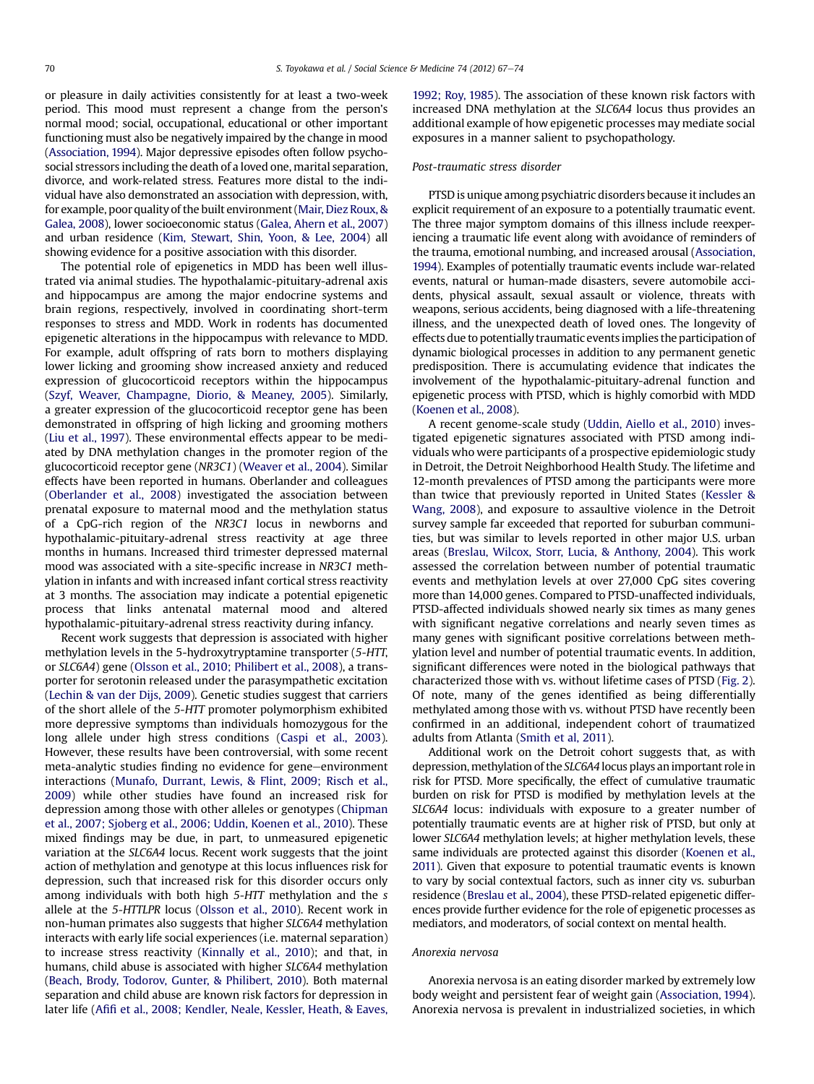or pleasure in daily activities consistently for at least a two-week period. This mood must represent a change from the person's normal mood; social, occupational, educational or other important functioning must also be negatively impaired by the change in mood ([Association, 1994\)](#page-6-0). Major depressive episodes often follow psychosocial stressors including the death of a loved one, marital separation, divorce, and work-related stress. Features more distal to the individual have also demonstrated an association with depression, with, for example, poor quality of the built environment [\(Mair, Diez Roux, &](#page-7-0) [Galea, 2008](#page-7-0)), lower socioeconomic status ([Galea, Ahern et al., 2007\)](#page-6-0) and urban residence [\(Kim, Stewart, Shin, Yoon, & Lee, 2004\)](#page-6-0) all showing evidence for a positive association with this disorder.

The potential role of epigenetics in MDD has been well illustrated via animal studies. The hypothalamic-pituitary-adrenal axis and hippocampus are among the major endocrine systems and brain regions, respectively, involved in coordinating short-term responses to stress and MDD. Work in rodents has documented epigenetic alterations in the hippocampus with relevance to MDD. For example, adult offspring of rats born to mothers displaying lower licking and grooming show increased anxiety and reduced expression of glucocorticoid receptors within the hippocampus ([Szyf, Weaver, Champagne, Diorio, & Meaney, 2005](#page-7-0)). Similarly, a greater expression of the glucocorticoid receptor gene has been demonstrated in offspring of high licking and grooming mothers ([Liu et al., 1997](#page-7-0)). These environmental effects appear to be mediated by DNA methylation changes in the promoter region of the glucocorticoid receptor gene (NR3C1) [\(Weaver et al., 2004](#page-7-0)). Similar effects have been reported in humans. Oberlander and colleagues ([Oberlander et al., 2008](#page-7-0)) investigated the association between prenatal exposure to maternal mood and the methylation status of a CpG-rich region of the NR3C1 locus in newborns and hypothalamic-pituitary-adrenal stress reactivity at age three months in humans. Increased third trimester depressed maternal mood was associated with a site-specific increase in NR3C1 methylation in infants and with increased infant cortical stress reactivity at 3 months. The association may indicate a potential epigenetic process that links antenatal maternal mood and altered hypothalamic-pituitary-adrenal stress reactivity during infancy.

Recent work suggests that depression is associated with higher methylation levels in the 5-hydroxytryptamine transporter (5-HTT, or SLC6A4) gene [\(Olsson et al., 2010; Philibert et al., 2008\)](#page-7-0), a transporter for serotonin released under the parasympathetic excitation ([Lechin & van der Dijs, 2009](#page-7-0)). Genetic studies suggest that carriers of the short allele of the 5-HTT promoter polymorphism exhibited more depressive symptoms than individuals homozygous for the long allele under high stress conditions ([Caspi et al., 2003](#page-6-0)). However, these results have been controversial, with some recent meta-analytic studies finding no evidence for gene-environment interactions [\(Munafo, Durrant, Lewis, & Flint, 2009; Risch et al.,](#page-7-0) [2009](#page-7-0)) while other studies have found an increased risk for depression among those with other alleles or genotypes ([Chipman](#page-6-0) [et al., 2007; Sjoberg et al., 2006; Uddin, Koenen et al., 2010\)](#page-6-0). These mixed findings may be due, in part, to unmeasured epigenetic variation at the SLC6A4 locus. Recent work suggests that the joint action of methylation and genotype at this locus influences risk for depression, such that increased risk for this disorder occurs only among individuals with both high 5-HTT methylation and the s allele at the 5-HTTLPR locus [\(Olsson et al., 2010](#page-7-0)). Recent work in non-human primates also suggests that higher SLC6A4 methylation interacts with early life social experiences (i.e. maternal separation) to increase stress reactivity ([Kinnally et al., 2010\)](#page-6-0); and that, in humans, child abuse is associated with higher SLC6A4 methylation ([Beach, Brody, Todorov, Gunter, & Philibert, 2010](#page-6-0)). Both maternal separation and child abuse are known risk factors for depression in later life (Afifi [et al., 2008; Kendler, Neale, Kessler, Heath, & Eaves,](#page-6-0) [1992; Roy, 1985\)](#page-6-0). The association of these known risk factors with increased DNA methylation at the SLC6A4 locus thus provides an additional example of how epigenetic processes may mediate social exposures in a manner salient to psychopathology.

## Post-traumatic stress disorder

PTSD is unique among psychiatric disorders because it includes an explicit requirement of an exposure to a potentially traumatic event. The three major symptom domains of this illness include reexperiencing a traumatic life event along with avoidance of reminders of the trauma, emotional numbing, and increased arousal ([Association,](#page-6-0) [1994\)](#page-6-0). Examples of potentially traumatic events include war-related events, natural or human-made disasters, severe automobile accidents, physical assault, sexual assault or violence, threats with weapons, serious accidents, being diagnosed with a life-threatening illness, and the unexpected death of loved ones. The longevity of effects due to potentially traumatic events implies the participation of dynamic biological processes in addition to any permanent genetic predisposition. There is accumulating evidence that indicates the involvement of the hypothalamic-pituitary-adrenal function and epigenetic process with PTSD, which is highly comorbid with MDD ([Koenen et al., 2008](#page-6-0)).

A recent genome-scale study [\(Uddin, Aiello et al., 2010](#page-7-0)) investigated epigenetic signatures associated with PTSD among individuals who were participants of a prospective epidemiologic study in Detroit, the Detroit Neighborhood Health Study. The lifetime and 12-month prevalences of PTSD among the participants were more than twice that previously reported in United States [\(Kessler &](#page-6-0) [Wang, 2008](#page-6-0)), and exposure to assaultive violence in the Detroit survey sample far exceeded that reported for suburban communities, but was similar to levels reported in other major U.S. urban areas ([Breslau, Wilcox, Storr, Lucia, & Anthony, 2004](#page-6-0)). This work assessed the correlation between number of potential traumatic events and methylation levels at over 27,000 CpG sites covering more than 14,000 genes. Compared to PTSD-unaffected individuals, PTSD-affected individuals showed nearly six times as many genes with significant negative correlations and nearly seven times as many genes with significant positive correlations between methylation level and number of potential traumatic events. In addition, significant differences were noted in the biological pathways that characterized those with vs. without lifetime cases of PTSD [\(Fig. 2\)](#page-4-0). Of note, many of the genes identified as being differentially methylated among those with vs. without PTSD have recently been confirmed in an additional, independent cohort of traumatized adults from Atlanta ([Smith et al, 2011](#page-7-0)).

Additional work on the Detroit cohort suggests that, as with depression, methylation of the SLC6A4 locus plays an important role in risk for PTSD. More specifically, the effect of cumulative traumatic burden on risk for PTSD is modified by methylation levels at the SLC6A4 locus: individuals with exposure to a greater number of potentially traumatic events are at higher risk of PTSD, but only at lower SLC6A4 methylation levels; at higher methylation levels, these same individuals are protected against this disorder [\(Koenen et al.,](#page-7-0) [2011](#page-7-0)). Given that exposure to potential traumatic events is known to vary by social contextual factors, such as inner city vs. suburban residence [\(Breslau et al., 2004](#page-6-0)), these PTSD-related epigenetic differences provide further evidence for the role of epigenetic processes as mediators, and moderators, of social context on mental health.

## Anorexia nervosa

Anorexia nervosa is an eating disorder marked by extremely low body weight and persistent fear of weight gain [\(Association, 1994\)](#page-6-0). Anorexia nervosa is prevalent in industrialized societies, in which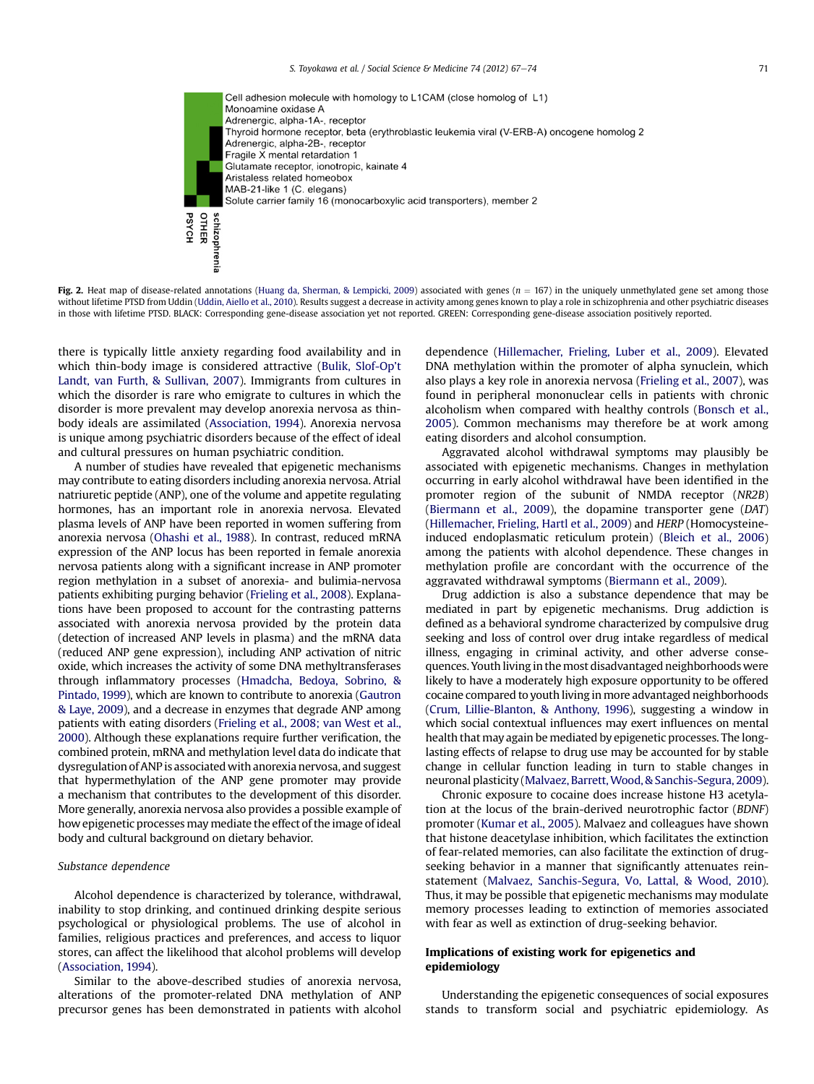<span id="page-4-0"></span>

Fig. 2. Heat map of disease-related annotations [\(Huang da, Sherman, & Lempicki, 2009](#page-6-0)) associated with genes  $(n = 167)$  in the uniquely unmethylated gene set among those without lifetime PTSD from Uddin ([Uddin, Aiello et al., 2010](#page-7-0)). Results suggest a decrease in activity among genes known to play a role in schizophrenia and other psychiatric diseases in those with lifetime PTSD. BLACK: Corresponding gene-disease association yet not reported. GREEN: Corresponding gene-disease association positively reported.

there is typically little anxiety regarding food availability and in which thin-body image is considered attractive [\(Bulik, Slof-Op](#page-6-0)'t [Landt, van Furth, & Sullivan, 2007](#page-6-0)). Immigrants from cultures in which the disorder is rare who emigrate to cultures in which the disorder is more prevalent may develop anorexia nervosa as thinbody ideals are assimilated [\(Association, 1994](#page-6-0)). Anorexia nervosa is unique among psychiatric disorders because of the effect of ideal and cultural pressures on human psychiatric condition.

A number of studies have revealed that epigenetic mechanisms may contribute to eating disorders including anorexia nervosa. Atrial natriuretic peptide (ANP), one of the volume and appetite regulating hormones, has an important role in anorexia nervosa. Elevated plasma levels of ANP have been reported in women suffering from anorexia nervosa ([Ohashi et al., 1988](#page-7-0)). In contrast, reduced mRNA expression of the ANP locus has been reported in female anorexia nervosa patients along with a significant increase in ANP promoter region methylation in a subset of anorexia- and bulimia-nervosa patients exhibiting purging behavior [\(Frieling et al., 2008\)](#page-6-0). Explanations have been proposed to account for the contrasting patterns associated with anorexia nervosa provided by the protein data (detection of increased ANP levels in plasma) and the mRNA data (reduced ANP gene expression), including ANP activation of nitric oxide, which increases the activity of some DNA methyltransferases through inflammatory processes ([Hmadcha, Bedoya, Sobrino, &](#page-6-0) [Pintado, 1999](#page-6-0)), which are known to contribute to anorexia [\(Gautron](#page-6-0) [& Laye, 2009](#page-6-0)), and a decrease in enzymes that degrade ANP among patients with eating disorders ([Frieling et al., 2008; van West et al.,](#page-6-0) [2000\)](#page-6-0). Although these explanations require further verification, the combined protein, mRNA and methylation level data do indicate that dysregulation of ANP is associated with anorexia nervosa, and suggest that hypermethylation of the ANP gene promoter may provide a mechanism that contributes to the development of this disorder. More generally, anorexia nervosa also provides a possible example of how epigenetic processes may mediate the effect of the image of ideal body and cultural background on dietary behavior.

## Substance dependence

Alcohol dependence is characterized by tolerance, withdrawal, inability to stop drinking, and continued drinking despite serious psychological or physiological problems. The use of alcohol in families, religious practices and preferences, and access to liquor stores, can affect the likelihood that alcohol problems will develop ([Association, 1994\)](#page-6-0).

Similar to the above-described studies of anorexia nervosa, alterations of the promoter-related DNA methylation of ANP precursor genes has been demonstrated in patients with alcohol dependence ([Hillemacher, Frieling, Luber et al., 2009](#page-6-0)). Elevated DNA methylation within the promoter of alpha synuclein, which also plays a key role in anorexia nervosa ([Frieling et al., 2007\)](#page-6-0), was found in peripheral mononuclear cells in patients with chronic alcoholism when compared with healthy controls ([Bonsch et al.,](#page-6-0) [2005\)](#page-6-0). Common mechanisms may therefore be at work among eating disorders and alcohol consumption.

Aggravated alcohol withdrawal symptoms may plausibly be associated with epigenetic mechanisms. Changes in methylation occurring in early alcohol withdrawal have been identified in the promoter region of the subunit of NMDA receptor (NR2B) ([Biermann et al., 2009](#page-6-0)), the dopamine transporter gene (DAT) ([Hillemacher, Frieling, Hartl et al., 2009](#page-6-0)) and HERP (Homocysteineinduced endoplasmatic reticulum protein) ([Bleich et al., 2006\)](#page-6-0) among the patients with alcohol dependence. These changes in methylation profile are concordant with the occurrence of the aggravated withdrawal symptoms ([Biermann et al., 2009](#page-6-0)).

Drug addiction is also a substance dependence that may be mediated in part by epigenetic mechanisms. Drug addiction is defined as a behavioral syndrome characterized by compulsive drug seeking and loss of control over drug intake regardless of medical illness, engaging in criminal activity, and other adverse consequences. Youth living in themost disadvantaged neighborhoods were likely to have a moderately high exposure opportunity to be offered cocaine compared to youth living inmore advantaged neighborhoods [\(Crum, Lillie-Blanton, & Anthony, 1996](#page-6-0)), suggesting a window in which social contextual influences may exert influences on mental health that may again be mediated by epigenetic processes. The longlasting effects of relapse to drug use may be accounted for by stable change in cellular function leading in turn to stable changes in neuronal plasticity [\(Malvaez, Barrett,Wood, & Sanchis-Segura, 2009\)](#page-7-0).

Chronic exposure to cocaine does increase histone H3 acetylation at the locus of the brain-derived neurotrophic factor (BDNF) promoter [\(Kumar et al., 2005](#page-7-0)). Malvaez and colleagues have shown that histone deacetylase inhibition, which facilitates the extinction of fear-related memories, can also facilitate the extinction of drugseeking behavior in a manner that significantly attenuates reinstatement ([Malvaez, Sanchis-Segura, Vo, Lattal, & Wood, 2010\)](#page-7-0). Thus, it may be possible that epigenetic mechanisms may modulate memory processes leading to extinction of memories associated with fear as well as extinction of drug-seeking behavior.

# Implications of existing work for epigenetics and epidemiology

Understanding the epigenetic consequences of social exposures stands to transform social and psychiatric epidemiology. As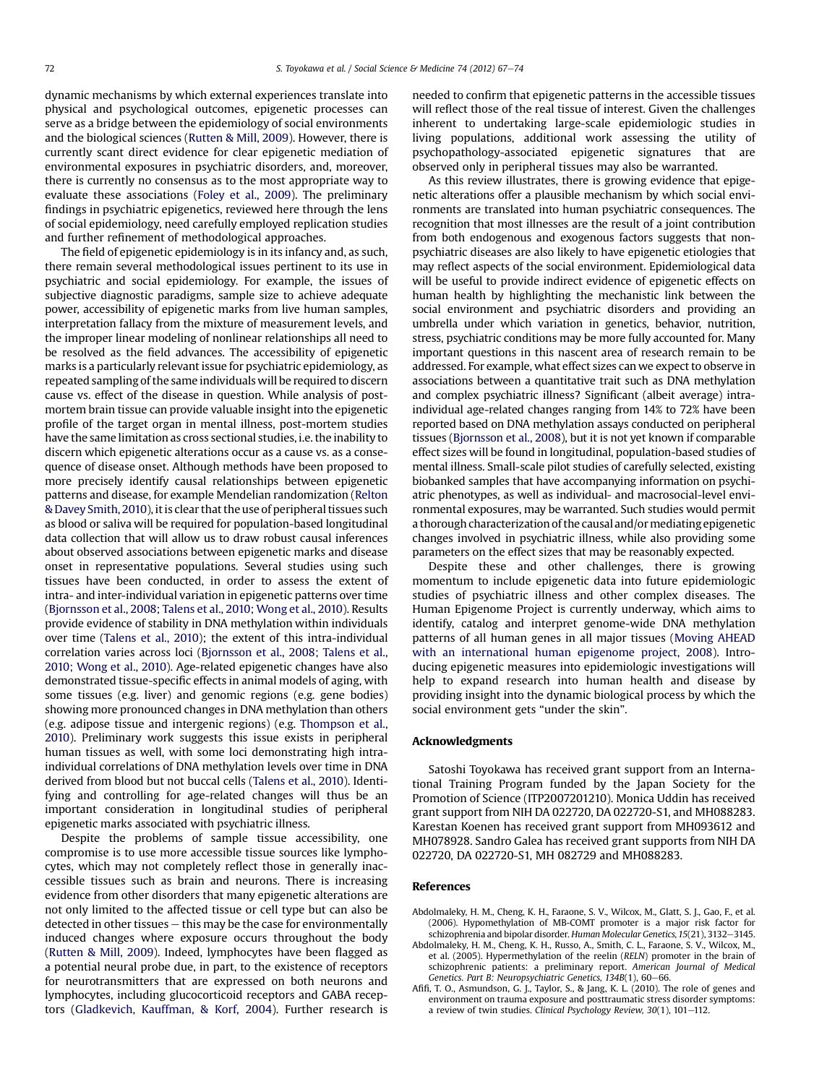<span id="page-5-0"></span>dynamic mechanisms by which external experiences translate into physical and psychological outcomes, epigenetic processes can serve as a bridge between the epidemiology of social environments and the biological sciences ([Rutten & Mill, 2009](#page-7-0)). However, there is currently scant direct evidence for clear epigenetic mediation of environmental exposures in psychiatric disorders, and, moreover, there is currently no consensus as to the most appropriate way to evaluate these associations ([Foley et al., 2009\)](#page-6-0). The preliminary findings in psychiatric epigenetics, reviewed here through the lens of social epidemiology, need carefully employed replication studies and further refinement of methodological approaches.

The field of epigenetic epidemiology is in its infancy and, as such, there remain several methodological issues pertinent to its use in psychiatric and social epidemiology. For example, the issues of subjective diagnostic paradigms, sample size to achieve adequate power, accessibility of epigenetic marks from live human samples, interpretation fallacy from the mixture of measurement levels, and the improper linear modeling of nonlinear relationships all need to be resolved as the field advances. The accessibility of epigenetic marks is a particularly relevant issue for psychiatric epidemiology, as repeated sampling of the same individuals will be required to discern cause vs. effect of the disease in question. While analysis of postmortem brain tissue can provide valuable insight into the epigenetic profile of the target organ in mental illness, post-mortem studies have the same limitation as cross sectional studies, i.e. the inability to discern which epigenetic alterations occur as a cause vs. as a consequence of disease onset. Although methods have been proposed to more precisely identify causal relationships between epigenetic patterns and disease, for example Mendelian randomization ([Relton](#page-7-0) [& Davey Smith, 2010](#page-7-0)), it is clear that the use of peripheral tissues such as blood or saliva will be required for population-based longitudinal data collection that will allow us to draw robust causal inferences about observed associations between epigenetic marks and disease onset in representative populations. Several studies using such tissues have been conducted, in order to assess the extent of intra- and inter-individual variation in epigenetic patterns over time ([Bjornsson et al., 2008; Talens et al., 2010; Wong et al., 2010\)](#page-6-0). Results provide evidence of stability in DNA methylation within individuals over time [\(Talens et al., 2010](#page-7-0)); the extent of this intra-individual correlation varies across loci [\(Bjornsson et al., 2008; Talens et al.,](#page-6-0) [2010; Wong et al., 2010\)](#page-6-0). Age-related epigenetic changes have also demonstrated tissue-specific effects in animal models of aging, with some tissues (e.g. liver) and genomic regions (e.g. gene bodies) showing more pronounced changes in DNA methylation than others (e.g. adipose tissue and intergenic regions) (e.g. [Thompson et al.,](#page-7-0) [2010\)](#page-7-0). Preliminary work suggests this issue exists in peripheral human tissues as well, with some loci demonstrating high intraindividual correlations of DNA methylation levels over time in DNA derived from blood but not buccal cells [\(Talens et al., 2010](#page-7-0)). Identifying and controlling for age-related changes will thus be an important consideration in longitudinal studies of peripheral epigenetic marks associated with psychiatric illness.

Despite the problems of sample tissue accessibility, one compromise is to use more accessible tissue sources like lymphocytes, which may not completely reflect those in generally inaccessible tissues such as brain and neurons. There is increasing evidence from other disorders that many epigenetic alterations are not only limited to the affected tissue or cell type but can also be detected in other tissues  $-$  this may be the case for environmentally induced changes where exposure occurs throughout the body ([Rutten & Mill, 2009](#page-7-0)). Indeed, lymphocytes have been flagged as a potential neural probe due, in part, to the existence of receptors for neurotransmitters that are expressed on both neurons and lymphocytes, including glucocorticoid receptors and GABA receptors [\(Gladkevich, Kauffman, & Korf, 2004\)](#page-6-0). Further research is needed to confirm that epigenetic patterns in the accessible tissues will reflect those of the real tissue of interest. Given the challenges inherent to undertaking large-scale epidemiologic studies in living populations, additional work assessing the utility of psychopathology-associated epigenetic signatures that are observed only in peripheral tissues may also be warranted.

As this review illustrates, there is growing evidence that epigenetic alterations offer a plausible mechanism by which social environments are translated into human psychiatric consequences. The recognition that most illnesses are the result of a joint contribution from both endogenous and exogenous factors suggests that nonpsychiatric diseases are also likely to have epigenetic etiologies that may reflect aspects of the social environment. Epidemiological data will be useful to provide indirect evidence of epigenetic effects on human health by highlighting the mechanistic link between the social environment and psychiatric disorders and providing an umbrella under which variation in genetics, behavior, nutrition, stress, psychiatric conditions may be more fully accounted for. Many important questions in this nascent area of research remain to be addressed. For example, what effect sizes can we expect to observe in associations between a quantitative trait such as DNA methylation and complex psychiatric illness? Significant (albeit average) intraindividual age-related changes ranging from 14% to 72% have been reported based on DNA methylation assays conducted on peripheral tissues ([Bjornsson et al., 2008\)](#page-6-0), but it is not yet known if comparable effect sizes will be found in longitudinal, population-based studies of mental illness. Small-scale pilot studies of carefully selected, existing biobanked samples that have accompanying information on psychiatric phenotypes, as well as individual- and macrosocial-level environmental exposures, may be warranted. Such studies would permit a thorough characterization of the causal and/or mediating epigenetic changes involved in psychiatric illness, while also providing some parameters on the effect sizes that may be reasonably expected.

Despite these and other challenges, there is growing momentum to include epigenetic data into future epidemiologic studies of psychiatric illness and other complex diseases. The Human Epigenome Project is currently underway, which aims to identify, catalog and interpret genome-wide DNA methylation patterns of all human genes in all major tissues ([Moving AHEAD](#page-7-0) [with an international human epigenome project, 2008\)](#page-7-0). Introducing epigenetic measures into epidemiologic investigations will help to expand research into human health and disease by providing insight into the dynamic biological process by which the social environment gets "under the skin".

## Acknowledgments

Satoshi Toyokawa has received grant support from an International Training Program funded by the Japan Society for the Promotion of Science (ITP2007201210). Monica Uddin has received grant support from NIH DA 022720, DA 022720-S1, and MH088283. Karestan Koenen has received grant support from MH093612 and MH078928. Sandro Galea has received grant supports from NIH DA 022720, DA 022720-S1, MH 082729 and MH088283.

#### References

- Abdolmaleky, H. M., Cheng, K. H., Faraone, S. V., Wilcox, M., Glatt, S. J., Gao, F., et al. (2006). Hypomethylation of MB-COMT promoter is a major risk factor for schizophrenia and bipolar disorder. Human Molecular Genetics, 15(21), 3132-3145.
- Abdolmaleky, H. M., Cheng, K. H., Russo, A., Smith, C. L., Faraone, S. V., Wilcox, M., et al. (2005). Hypermethylation of the reelin (RELN) promoter in the brain of schizophrenic patients: a preliminary report. American Journal of Medical Genetics. Part B: Neuropsychiatric Genetics, 134B(1), 60-66.
- Afifi, T. O., Asmundson, G. J., Taylor, S., & Jang, K. L. (2010). The role of genes and environment on trauma exposure and posttraumatic stress disorder symptoms: a review of twin studies. Clinical Psychology Review,  $30(1)$ ,  $101-112$ .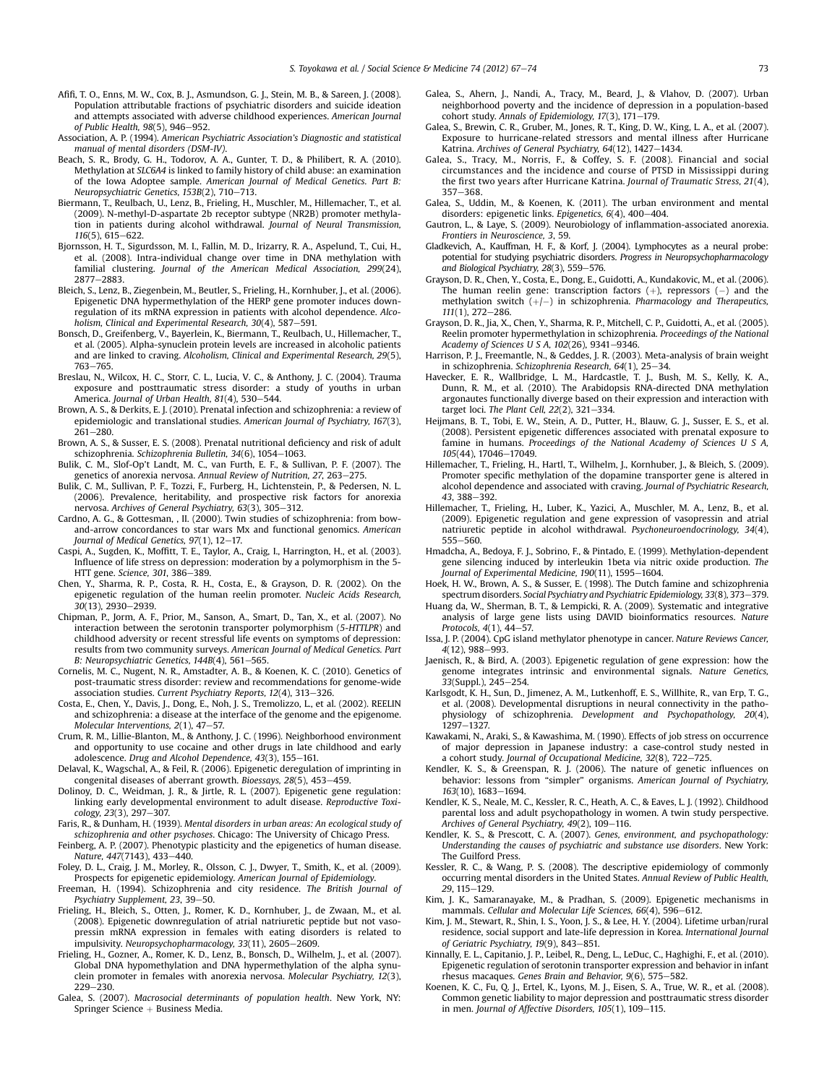- <span id="page-6-0"></span>Afifi, T. O., Enns, M. W., Cox, B. J., Asmundson, G. J., Stein, M. B., & Sareen, J. (2008). Population attributable fractions of psychiatric disorders and suicide ideation and attempts associated with adverse childhood experiences. American Journal of Public Health,  $98(5)$ ,  $946-952$ .
- Association, A. P. (1994). American Psychiatric Association's Diagnostic and statistical manual of mental disorders (DSM-IV).
- Beach, S. R., Brody, G. H., Todorov, A. A., Gunter, T. D., & Philibert, R. A. (2010). Methylation at SLC6A4 is linked to family history of child abuse: an examination of the Iowa Adoptee sample. American Journal of Medical Genetics. Part B: Neuropsychiatric Genetics,  $153B(2)$ ,  $710-713$ .
- Biermann, T., Reulbach, U., Lenz, B., Frieling, H., Muschler, M., Hillemacher, T., et al. (2009). N-methyl-D-aspartate 2b receptor subtype (NR2B) promoter methylation in patients during alcohol withdrawal. Journal of Neural Transmission,  $116(5)$ , 615-622.
- Bjornsson, H. T., Sigurdsson, M. I., Fallin, M. D., Irizarry, R. A., Aspelund, T., Cui, H., et al. (2008). Intra-individual change over time in DNA methylation with familial clustering. Journal of the American Medical Association, 299(24), 2877-2883.
- Bleich, S., Lenz, B., Ziegenbein, M., Beutler, S., Frieling, H., Kornhuber, J., et al. (2006). Epigenetic DNA hypermethylation of the HERP gene promoter induces downregulation of its mRNA expression in patients with alcohol dependence. Alcoholism, Clinical and Experimental Research, 30(4), 587-591.
- Bonsch, D., Greifenberg, V., Bayerlein, K., Biermann, T., Reulbach, U., Hillemacher, T., et al. (2005). Alpha-synuclein protein levels are increased in alcoholic patients and are linked to craving. Alcoholism, Clinical and Experimental Research, 29(5), 763-765
- Breslau, N., Wilcox, H. C., Storr, C. L., Lucia, V. C., & Anthony, J. C. (2004). Trauma exposure and posttraumatic stress disorder: a study of youths in urban America. Journal of Urban Health, 81(4), 530-544.
- Brown, A. S., & Derkits, E. J. (2010). Prenatal infection and schizophrenia: a review of epidemiologic and translational studies. American Journal of Psychiatry, 167(3),  $261 - 280$ .
- Brown, A. S., & Susser, E. S. (2008). Prenatal nutritional deficiency and risk of adult schizophrenia. Schizophrenia Bulletin, 34(6), 1054-1063.
- Bulik, C. M., Slof-Op't Landt, M. C., van Furth, E. F., & Sullivan, P. F. (2007). The genetics of anorexia nervosa. Annual Review of Nutrition, 27, 263-275.
- Bulik, C. M., Sullivan, P. F., Tozzi, F., Furberg, H., Lichtenstein, P., & Pedersen, N. L. (2006). Prevalence, heritability, and prospective risk factors for anorexia nervosa. Archives of General Psychiatry, 63(3), 305-312.
- Cardno, A. G., & Gottesman, , II. (2000). Twin studies of schizophrenia: from bowand-arrow concordances to star wars Mx and functional genomics. American Journal of Medical Genetics, 97(1), 12-17.
- Caspi, A., Sugden, K., Moffitt, T. E., Taylor, A., Craig, I., Harrington, H., et al. (2003). Influence of life stress on depression: moderation by a polymorphism in the 5- HTT gene. Science, 301, 386-389.
- Chen, Y., Sharma, R. P., Costa, R. H., Costa, E., & Grayson, D. R. (2002). On the epigenetic regulation of the human reelin promoter. Nucleic Acids Research, 30(13), 2930-2939.
- Chipman, P., Jorm, A. F., Prior, M., Sanson, A., Smart, D., Tan, X., et al. (2007). No interaction between the serotonin transporter polymorphism (5-HTTLPR) and childhood adversity or recent stressful life events on symptoms of depression: results from two community surveys. American Journal of Medical Genetics. Part B: Neuropsychiatric Genetics, 144B(4), 561-565.
- Cornelis, M. C., Nugent, N. R., Amstadter, A. B., & Koenen, K. C. (2010). Genetics of post-traumatic stress disorder: review and recommendations for genome-wide association studies. Current Psychiatry Reports, 12(4), 313–326.
- Costa, E., Chen, Y., Davis, J., Dong, E., Noh, J. S., Tremolizzo, L., et al. (2002). REELIN and schizophrenia: a disease at the interface of the genome and the epigenome. Molecular Interventions,  $2(1)$ ,  $47-57$ .
- Crum, R. M., Lillie-Blanton, M., & Anthony, J. C. (1996). Neighborhood environment and opportunity to use cocaine and other drugs in late childhood and early adolescence. Drug and Alcohol Dependence, 43(3), 155-161.
- Delaval, K., Wagschal, A., & Feil, R. (2006). Epigenetic deregulation of imprinting in congenital diseases of aberrant growth. Bioessays,  $28(5)$ ,  $453-459$ .
- Dolinoy, D. C., Weidman, J. R., & Jirtle, R. L. (2007). Epigenetic gene regulation: linking early developmental environment to adult disease. Reproductive Toxi $cology, 23(3), 297-307.$
- Faris, R., & Dunham, H. (1939). Mental disorders in urban areas: An ecological study of schizophrenia and other psychoses. Chicago: The University of Chicago Press.
- Feinberg, A. P. (2007). Phenotypic plasticity and the epigenetics of human disease. Nature, 447(7143), 433-440.
- Foley, D. L., Craig, J. M., Morley, R., Olsson, C. J., Dwyer, T., Smith, K., et al. (2009). Prospects for epigenetic epidemiology. American Journal of Epidemiology.
- Freeman, H. (1994). Schizophrenia and city residence. The British Journal of Psychiatry Supplement, 23, 39-50.
- Frieling, H., Bleich, S., Otten, J., Romer, K. D., Kornhuber, J., de Zwaan, M., et al. (2008). Epigenetic downregulation of atrial natriuretic peptide but not vasopressin mRNA expression in females with eating disorders is related to  $impulsivity. Neuropsychopharmacology, 33(11), 2605–2609.$
- Frieling, H., Gozner, A., Romer, K. D., Lenz, B., Bonsch, D., Wilhelm, J., et al. (2007). Global DNA hypomethylation and DNA hypermethylation of the alpha synuclein promoter in females with anorexia nervosa. Molecular Psychiatry, 12(3),  $229 - 230$
- Galea, S. (2007). Macrosocial determinants of population health. New York, NY: Springer Science  $+$  Business Media.
- Galea, S., Ahern, J., Nandi, A., Tracy, M., Beard, J., & Vlahov, D. (2007). Urban neighborhood poverty and the incidence of depression in a population-based cohort study. Annals of Epidemiology,  $17(3)$ ,  $171-179$ .
- Galea, S., Brewin, C. R., Gruber, M., Jones, R. T., King, D. W., King, L. A., et al. (2007). Exposure to hurricane-related stressors and mental illness after Hurricane Katrina. Archives of General Psychiatry, 64(12), 1427-1434.
- Galea, S., Tracy, M., Norris, F., & Coffey, S. F. (2008). Financial and social circumstances and the incidence and course of PTSD in Mississippi during the first two years after Hurricane Katrina. Journal of Traumatic Stress, 21(4),  $357 - 368.$
- Galea, S., Uddin, M., & Koenen, K. (2011). The urban environment and mental disorders: epigenetic links. Epigenetics,  $6(4)$ ,  $400-404$ .
- Gautron, L., & Laye, S. (2009). Neurobiology of inflammation-associated anorexia. Frontiers in Neuroscience, 3, 59.
- Gladkevich, A., Kauffman, H. F., & Korf, J. (2004). Lymphocytes as a neural probe: potential for studying psychiatric disorders. Progress in Neuropsychopharmacology and Biological Psychiatry,  $28(3)$ , 559–576
- Grayson, D. R., Chen, Y., Costa, E., Dong, E., Guidotti, A., Kundakovic, M., et al. (2006). The human reelin gene: transcription factors  $(+)$ , repressors  $(-)$  and the methylation switch  $(+/-)$  in schizophrenia. *Pharmacology and Therapeutics*,  $111(1)$ ,  $272-286$ .
- Grayson, D. R., Jia, X., Chen, Y., Sharma, R. P., Mitchell, C. P., Guidotti, A., et al. (2005). Reelin promoter hypermethylation in schizophrenia. Proceedings of the National Academy of Sciences U S A, 102(26), 9341-9346.
- Harrison, P. J., Freemantle, N., & Geddes, J. R. (2003). Meta-analysis of brain weight in schizophrenia. Schizophrenia Research, 64(1), 25-34.
- Havecker, E. R., Wallbridge, L. M., Hardcastle, T. J., Bush, M. S., Kelly, K. A., Dunn, R. M., et al. (2010). The Arabidopsis RNA-directed DNA methylation argonautes functionally diverge based on their expression and interaction with target loci. The Plant Cell,  $22(2)$ ,  $321-334$ .
- Heijmans, B. T., Tobi, E. W., Stein, A. D., Putter, H., Blauw, G. J., Susser, E. S., et al. (2008). Persistent epigenetic differences associated with prenatal exposure to famine in humans. Proceedings of the National Academy of Sciences U S A, 105(44), 17046-17049.
- Hillemacher, T., Frieling, H., Hartl, T., Wilhelm, J., Kornhuber, J., & Bleich, S. (2009). Promoter specific methylation of the dopamine transporter gene is altered in alcohol dependence and associated with craving. Journal of Psychiatric Research, 43, 388-392.
- Hillemacher, T., Frieling, H., Luber, K., Yazici, A., Muschler, M. A., Lenz, B., et al. (2009). Epigenetic regulation and gene expression of vasopressin and atrial natriuretic peptide in alcohol withdrawal. Psychoneuroendocrinology, 34(4), 555-560
- Hmadcha, A., Bedoya, F. J., Sobrino, F., & Pintado, E. (1999). Methylation-dependent gene silencing induced by interleukin 1beta via nitric oxide production. The Journal of Experimental Medicine, 190(11), 1595-1604.
- Hoek, H. W., Brown, A. S., & Susser, E. (1998). The Dutch famine and schizophrenia spectrum disorders. Social Psychiatry and Psychiatric Epidemiology, 33(8), 373-379.
- Huang da, W., Sherman, B. T., & Lempicki, R. A. (2009). Systematic and integrative analysis of large gene lists using DAVID bioinformatics resources. Nature Protocols,  $4(1)$ ,  $44-57$ .
- Issa, J. P. (2004). CpG island methylator phenotype in cancer. Nature Reviews Cancer, 4(12), 988-993.
- Jaenisch, R., & Bird, A. (2003). Epigenetic regulation of gene expression: how the genome integrates intrinsic and environmental signals. Nature Genetics, 33(Suppl.), 245-254.
- Karlsgodt, K. H., Sun, D., Jimenez, A. M., Lutkenhoff, E. S., Willhite, R., van Erp, T. G., et al. (2008). Developmental disruptions in neural connectivity in the pathophysiology of schizophrenia. Development and Psychopathology, 20(4), 1297-1327.
- Kawakami, N., Araki, S., & Kawashima, M. (1990). Effects of job stress on occurrence of major depression in Japanese industry: a case-control study nested in a cohort study. Journal of Occupational Medicine, 32(8), 722-725.
- Kendler, K. S., & Greenspan, R. J. (2006). The nature of genetic influences on behavior: lessons from "simpler" organisms. American Journal of Psychiatry, 163(10), 1683-1694.
- Kendler, K. S., Neale, M. C., Kessler, R. C., Heath, A. C., & Eaves, L. J. (1992). Childhood parental loss and adult psychopathology in women. A twin study perspective. Archives of General Psychiatry, 49(2), 109-116.
- Kendler, K. S., & Prescott, C. A. (2007). Genes, environment, and psychopathology: Understanding the causes of psychiatric and substance use disorders. New York: The Guilford Press.
- Kessler, R. C., & Wang, P. S. (2008). The descriptive epidemiology of commonly occurring mental disorders in the United States. Annual Review of Public Health, 29. 115-129.
- Kim, J. K., Samaranayake, M., & Pradhan, S. (2009). Epigenetic mechanisms in mammals. Cellular and Molecular Life Sciences, 66(4), 596-612.
- Kim, J. M., Stewart, R., Shin, I. S., Yoon, J. S., & Lee, H. Y. (2004). Lifetime urban/rural residence, social support and late-life depression in Korea. International Journal of Geriatric Psychiatry, 19(9), 843-851.
- Kinnally, E. L., Capitanio, J. P., Leibel, R., Deng, L., LeDuc, C., Haghighi, F., et al. (2010). Epigenetic regulation of serotonin transporter expression and behavior in infant rhesus macaques. Genes Brain and Behavior, 9(6), 575-582.
- Koenen, K. C., Fu, Q. J., Ertel, K., Lyons, M. J., Eisen, S. A., True, W. R., et al. (2008). Common genetic liability to major depression and posttraumatic stress disorder in men. Journal of Affective Disorders,  $105(1)$ ,  $109-115$ .